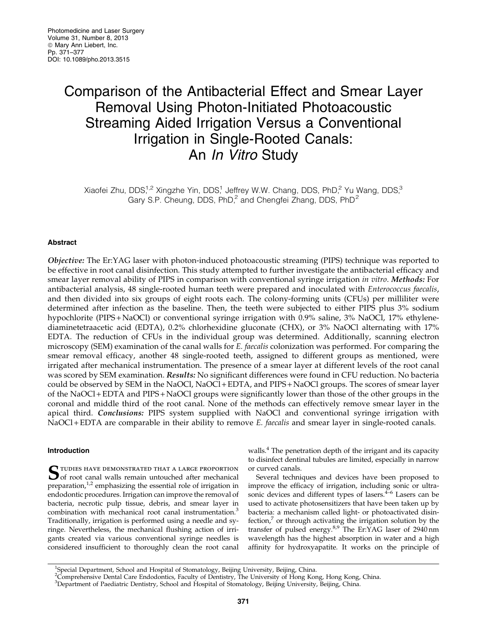# Comparison of the Antibacterial Effect and Smear Layer Removal Using Photon-Initiated Photoacoustic Streaming Aided Irrigation Versus a Conventional Irrigation in Single-Rooted Canals: An In Vitro Study

Xiaofei Zhu, DDS,<sup>1,2</sup> Xingzhe Yin, DDS,<sup>1</sup> Jeffrey W.W. Chang, DDS, PhD,<sup>2</sup> Yu Wang, DDS,<sup>3</sup> Gary S.P. Cheung, DDS,  $PhD<sup>2</sup>$  and Chengfei Zhang, DDS,  $PhD<sup>2</sup>$ 

## Abstract

Objective: The Er:YAG laser with photon-induced photoacoustic streaming (PIPS) technique was reported to be effective in root canal disinfection. This study attempted to further investigate the antibacterial efficacy and smear layer removal ability of PIPS in comparison with conventional syringe irrigation in vitro. Methods: For antibacterial analysis, 48 single-rooted human teeth were prepared and inoculated with Enterococcus faecalis, and then divided into six groups of eight roots each. The colony-forming units (CFUs) per milliliter were determined after infection as the baseline. Then, the teeth were subjected to either PIPS plus 3% sodium hypochlorite (PIPS + NaOCl) or conventional syringe irrigation with 0.9% saline, 3% NaOCl, 17% ethylenediaminetetraacetic acid (EDTA), 0.2% chlorhexidine gluconate (CHX), or 3% NaOCl alternating with 17% EDTA. The reduction of CFUs in the individual group was determined. Additionally, scanning electron microscopy (SEM) examination of the canal walls for E. faecalis colonization was performed. For comparing the smear removal efficacy, another 48 single-rooted teeth, assigned to different groups as mentioned, were irrigated after mechanical instrumentation. The presence of a smear layer at different levels of the root canal was scored by SEM examination. Results: No significant differences were found in CFU reduction. No bacteria could be observed by SEM in the NaOCl, NaOCl + EDTA, and PIPS + NaOCl groups. The scores of smear layer of the NaOCl + EDTA and PIPS + NaOCl groups were significantly lower than those of the other groups in the coronal and middle third of the root canal. None of the methods can effectively remove smear layer in the apical third. Conclusions: PIPS system supplied with NaOCl and conventional syringe irrigation with NaOCl + EDTA are comparable in their ability to remove *E. faecalis* and smear layer in single-rooted canals.

## Introduction

 $S$ <sup>tudies have demonstrated that a large proportion of root canal walls remain untouched after mechanical</sup> preparation, $1/2$  emphasizing the essential role of irrigation in endodontic procedures. Irrigation can improve the removal of bacteria, necrotic pulp tissue, debris, and smear layer in combination with mechanical root canal instrumentation.<sup>3</sup> Traditionally, irrigation is performed using a needle and syringe. Nevertheless, the mechanical flushing action of irrigants created via various conventional syringe needles is considered insufficient to thoroughly clean the root canal walls.<sup>4</sup> The penetration depth of the irrigant and its capacity to disinfect dentinal tubules are limited, especially in narrow or curved canals.

Several techniques and devices have been proposed to improve the efficacy of irrigation, including sonic or ultrasonic devices and different types of lasers.<sup>4–6</sup> Lasers can be used to activate photosensitizers that have been taken up by bacteria: a mechanism called light- or photoactivated disinfection,<sup>7</sup> or through activating the irrigation solution by the transfer of pulsed energy.<sup>8,9</sup> The Er:YAG laser of 2940 nm wavelength has the highest absorption in water and a high affinity for hydroxyapatite. It works on the principle of

<sup>&</sup>lt;sup>1</sup>Special Department, School and Hospital of Stomatology, Beijing University, Beijing, China.<br><sup>2</sup>Comprehensive Dental Care Endodontics, Faculty of Dentistry, The University of Hong Kong, Hong Kong, China.

<sup>3</sup> Department of Paediatric Dentistry, School and Hospital of Stomatology, Beijing University, Beijing, China.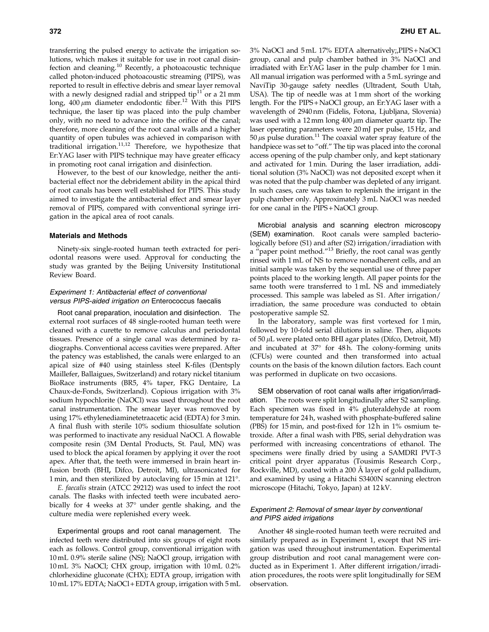transferring the pulsed energy to activate the irrigation solutions, which makes it suitable for use in root canal disinfection and cleaning.<sup>10</sup> Recently, a photoacoustic technique called photon-induced photoacoustic streaming (PIPS), was reported to result in effective debris and smear layer removal with a newly designed radial and stripped tip $11$  or a 21 mm long,  $400 \mu m$  diameter endodontic fiber.<sup>12</sup> With this PIPS technique, the laser tip was placed into the pulp chamber only, with no need to advance into the orifice of the canal; therefore, more cleaning of the root canal walls and a higher quantity of open tubules was achieved in comparison with traditional irrigation.11,12 Therefore, we hypothesize that Er:YAG laser with PIPS technique may have greater efficacy in promoting root canal irrigation and disinfection.

However, to the best of our knowledge, neither the antibacterial effect nor the debridement ability in the apical third of root canals has been well established for PIPS. This study aimed to investigate the antibacterial effect and smear layer removal of PIPS, compared with conventional syringe irrigation in the apical area of root canals.

## Materials and Methods

Ninety-six single-rooted human teeth extracted for periodontal reasons were used. Approval for conducting the study was granted by the Beijing University Institutional Review Board.

## Experiment 1: Antibacterial effect of conventional versus PIPS-aided irrigation on Enterococcus faecalis

Root canal preparation, inoculation and disinfection. The external root surfaces of 48 single-rooted human teeth were cleaned with a curette to remove calculus and periodontal tissues. Presence of a single canal was determined by radiographs. Conventional access cavities were prepared. After the patency was established, the canals were enlarged to an apical size of #40 using stainless steel K-files (Dentsply Maillefer, Ballaigues, Switzerland) and rotary nickel titanium BioRace instruments (BR5, 4% taper, FKG Dentaire, La Chaux-de-Fonds, Switzerland). Copious irrigation with 3% sodium hypochlorite (NaOCl) was used throughout the root canal instrumentation. The smear layer was removed by using 17% ethylenediaminetetraacetic acid (EDTA) for 3 min. A final flush with sterile 10% sodium thiosulfate solution was performed to inactivate any residual NaOCl. A flowable composite resin (3M Dental Products, St. Paul, MN) was used to block the apical foramen by applying it over the root apex. After that, the teeth were immersed in brain heart infusion broth (BHI, Difco, Detroit, MI), ultrasonicated for 1 min, and then sterilized by autoclaving for  $15$  min at  $121^{\circ}$ .

E. faecalis strain (ATCC 29212) was used to infect the root canals. The flasks with infected teeth were incubated aerobically for 4 weeks at  $37^{\circ}$  under gentle shaking, and the culture media were replenished every week.

Experimental groups and root canal management. The infected teeth were distributed into six groups of eight roots each as follows. Control group, conventional irrigation with 10mL 0.9% sterile saline (NS); NaOCl group, irrigation with 10mL 3% NaOCl; CHX group, irrigation with 10 mL 0.2% chlorhexidine gluconate (CHX); EDTA group, irrigation with 10mL 17% EDTA; NaOCl + EDTA group, irrigation with 5 mL 3% NaOCl and 5 mL 17% EDTA alternatively;,PIPS + NaOCl group, canal and pulp chamber bathed in 3% NaOCl and irradiated with Er:YAG laser in the pulp chamber for 1 min. All manual irrigation was performed with a 5 mL syringe and NaviTip 30-gauge safety needles (Ultradent, South Utah, USA). The tip of needle was at 1 mm short of the working length. For the PIPS + NaOCl group, an Er:YAG laser with a wavelength of 2940 nm (Fidelis, Fotona, Ljubljana, Slovenia) was used with a 12 mm long  $400 \mu m$  diameter quartz tip. The laser operating parameters were 20 mJ per pulse, 15 Hz, and 50  $\mu$ s pulse duration.<sup>11</sup> The coaxial water spray feature of the handpiece was set to "off." The tip was placed into the coronal access opening of the pulp chamber only, and kept stationary and activated for 1 min. During the laser irradiation, additional solution (3% NaOCl) was not deposited except when it was noted that the pulp chamber was depleted of any irrigant. In such cases, care was taken to replenish the irrigant in the pulp chamber only. Approximately 3 mL NaOCl was needed for one canal in the PIPS + NaOCl group.

Microbial analysis and scanning electron microscopy (SEM) examination. Root canals were sampled bacteriologically before (S1) and after (S2) irrigation/irradiation with a "paper point method."<sup>13</sup> Briefly, the root canal was gently rinsed with 1 mL of NS to remove nonadherent cells, and an initial sample was taken by the sequential use of three paper points placed to the working length. All paper points for the same tooth were transferred to 1 mL NS and immediately processed. This sample was labeled as S1. After irrigation/ irradiation, the same procedure was conducted to obtain postoperative sample S2.

In the laboratory, sample was first vortexed for 1 min, followed by 10-fold serial dilutions in saline. Then, aliquots of  $50 \mu$ L were plated onto BHI agar plates (Difco, Detroit, MI) and incubated at  $37^{\circ}$  for  $48$ h. The colony-forming units (CFUs) were counted and then transformed into actual counts on the basis of the known dilution factors. Each count was performed in duplicate on two occasions.

SEM observation of root canal walls after irrigation/irradiation. The roots were split longitudinally after S2 sampling. Each specimen was fixed in 4% gluteraldehyde at room temperature for 24 h, washed with phosphate-buffered saline (PBS) for 15 min, and post-fixed for 12 h in 1% osmium tetroxide. After a final wash with PBS, serial dehydration was performed with increasing concentrations of ethanol. The specimens were finally dried by using a SAMDRI PVT-3 critical point dryer apparatus (Tousimis Research Corp., Rockville, MD), coated with a 200 Å layer of gold palladium, and examined by using a Hitachi S3400N scanning electron microscope (Hitachi, Tokyo, Japan) at 12 kV.

# Experiment 2: Removal of smear layer by conventional and PIPS aided irrigations

Another 48 single-rooted human teeth were recruited and similarly prepared as in Experiment 1, except that NS irrigation was used throughout instrumentation. Experimental group distribution and root canal management were conducted as in Experiment 1. After different irrigation/irradiation procedures, the roots were split longitudinally for SEM observation.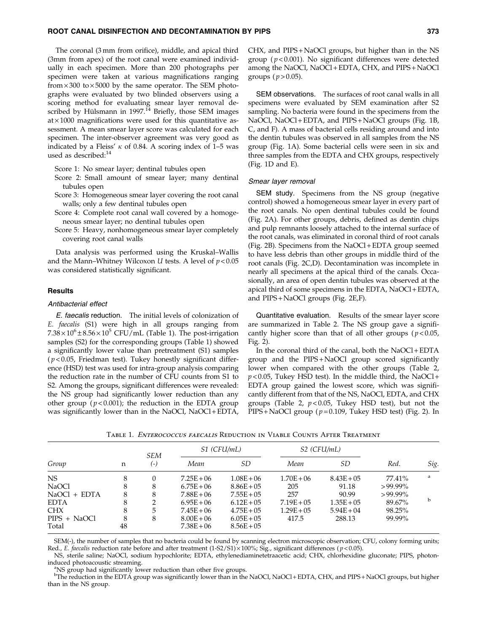The coronal (3 mm from orifice), middle, and apical third (3mm from apex) of the root canal were examined individually in each specimen. More than 200 photographs per specimen were taken at various magnifications ranging  $from \times 300$  to  $\times 5000$  by the same operator. The SEM photographs were evaluated by two blinded observers using a scoring method for evaluating smear layer removal described by Hülsmann in 1997.<sup>14</sup> Briefly, those SEM images  $at \times 1000$  magnifications were used for this quantitative assessment. A mean smear layer score was calculated for each specimen. The inter-observer agreement was very good as indicated by a Fleiss'  $\kappa$  of 0.84. A scoring index of 1–5 was used as described:  $\rm ^{14}$ 

Score 1: No smear layer; dentinal tubules open

- Score 2: Small amount of smear layer; many dentinal tubules open
- Score 3: Homogeneous smear layer covering the root canal walls; only a few dentinal tubules open
- Score 4: Complete root canal wall covered by a homogeneous smear layer; no dentinal tubules open
- Score 5: Heavy, nonhomogeneous smear layer completely covering root canal walls

Data analysis was performed using the Kruskal–Wallis and the Mann–Whitney Wilcoxon  $U$  tests. A level of  $p < 0.05$ was considered statistically significant.

## **Results**

## Antibacterial effect

E. faecalis reduction. The initial levels of colonization of E. faecalis (S1) were high in all groups ranging from  $7.38 \times 10^6 \pm 8.56 \times 10^5$  CFU/mL (Table 1). The post-irrigation samples (S2) for the corresponding groups (Table 1) showed a significantly lower value than pretreatment (S1) samples ( $p$ <0.05, Friedman test). Tukey honestly significant difference (HSD) test was used for intra-group analysis comparing the reduction rate in the number of CFU counts from S1 to S2. Among the groups, significant differences were revealed: the NS group had significantly lower reduction than any other group ( $p < 0.001$ ); the reduction in the EDTA group was significantly lower than in the NaOCl, NaOCl + EDTA, CHX, and PIPS + NaOCl groups, but higher than in the NS group ( $p < 0.001$ ). No significant differences were detected among the NaOCl, NaOCl + EDTA, CHX, and PIPS + NaOCl groups ( $p > 0.05$ ).

SEM observations. The surfaces of root canal walls in all specimens were evaluated by SEM examination after S2 sampling. No bacteria were found in the specimens from the NaOCl, NaOCl+EDTA, and PIPS+NaOCl groups (Fig. 1B, C, and F). A mass of bacterial cells residing around and into the dentin tubules was observed in all samples from the NS group (Fig. 1A). Some bacterial cells were seen in six and three samples from the EDTA and CHX groups, respectively (Fig. 1D and E).

#### Smear layer removal

SEM study. Specimens from the NS group (negative control) showed a homogeneous smear layer in every part of the root canals. No open dentinal tubules could be found (Fig. 2A). For other groups, debris, defined as dentin chips and pulp remnants loosely attached to the internal surface of the root canals, was eliminated in coronal third of root canals (Fig. 2B). Specimens from the NaOCl + EDTA group seemed to have less debris than other groups in middle third of the root canals (Fig. 2C,D). Decontamination was incomplete in nearly all specimens at the apical third of the canals. Occasionally, an area of open dentin tubules was observed at the apical third of some specimens in the EDTA, NaOCl + EDTA, and PIPS + NaOCl groups (Fig. 2E,F).

Quantitative evaluation. Results of the smear layer score are summarized in Table 2. The NS group gave a significantly higher score than that of all other groups ( $p < 0.05$ , Fig. 2).

In the coronal third of the canal, both the NaOCl + EDTA group and the PIPS + NaOCl group scored significantly lower when compared with the other groups (Table 2,  $p$  < 0.05, Tukey HSD test). In the middle third, the NaOCl + EDTA group gained the lowest score, which was significantly different from that of the NS, NaOCl, EDTA, and CHX groups (Table 2,  $p < 0.05$ , Tukey HSD test), but not the PIPS + NaOCl group ( $p = 0.109$ , Tukey HSD test) (Fig. 2). In

| Group        | n  | <b>SEM</b><br>(-) | S1 (CFU/mL)  |               | S <sub>2</sub> (CFU/mL) |               |            |      |
|--------------|----|-------------------|--------------|---------------|-------------------------|---------------|------------|------|
|              |    |                   | Mean         | SD            | Mean                    | SD            | Red.       | Sig. |
| NS.          | 8  | $\Omega$          | $7.25E + 06$ | $1.08E + 06$  | $1.70E + 06$            | $8.43E + 05$  | 77.41%     | a    |
| NaOCl        | 8  | 8                 | $6.75E + 06$ | $8.86E + 05$  | 205                     | 91.18         | $>99.99\%$ |      |
| NaOCl + EDTA | 8  | 8                 | $7.88E + 06$ | $7.55E + 0.5$ | 257                     | 90.99         | $>99.99\%$ |      |
| <b>EDTA</b>  | 8  | 2                 | $6.95E + 06$ | $6.12E + 0.5$ | $7.19E + 0.5$           | $1.35E + 0.5$ | 89.67%     | b    |
| <b>CHX</b>   | 8  | 5                 | $7.45E + 06$ | $4.75E + 05$  | $1.29E + 0.5$           | $5.94E + 04$  | 98.25%     |      |
| PIPS + NaOCl | 8  | 8                 | $8.00E + 06$ | $6.05E + 05$  | 417.5                   | 288.13        | 99.99%     |      |
| Total        | 48 |                   | $7.38E + 06$ | $8.56E + 05$  |                         |               |            |      |

Table 1. Enterococcus faecalis Reduction in Viable Counts After Treatment

SEM(-), the number of samples that no bacteria could be found by scanning electron microscopic observation; CFU, colony forming units; Red., E. faecalis reduction rate before and after treatment  $(1-S2/S1) \times 100\%$ ; Sig., significant differences ( $p < 0.05$ ).

NS, sterile saline; NaOCl, sodium hypochlorite; EDTA, ethylenediaminetetraacetic acid; CHX, chlorhexidine gluconate; PIPS, photoninduced photoacoustic streaming.

<sup>a</sup>NS group had significantly lower reduction than other five groups.

b The reduction in the EDTA group was significantly lower than in the NaOCl, NaOCl + EDTA, CHX, and PIPS + NaOCl groups, but higher than in the NS group.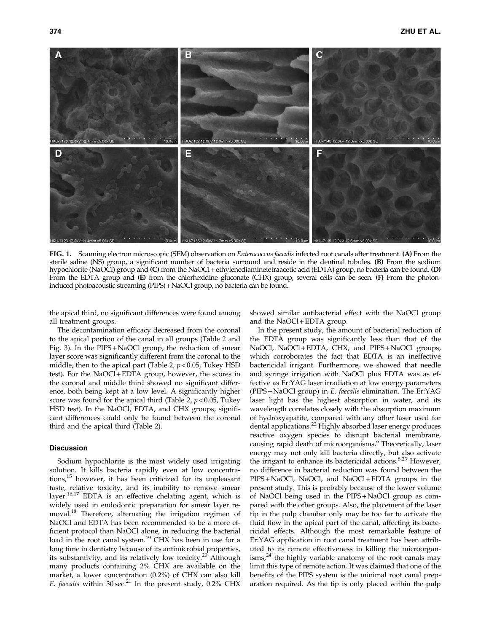

FIG. 1. Scanning electron microscopic (SEM) observation on *Enterococcus faecalis* infected root canals after treatment. (A) From the sterile saline (NS) group, a significant number of bacteria surround and reside in the dentinal tubules. (B) From the sodium hypochlorite (NaOCl) group and (C) from the NaOCl + ethylenediaminetetraacetic acid (EDTA) group, no bacteria can be found. (D) From the EDTA group and (E) from the chlorhexidine gluconate (CHX) group, several cells can be seen. (F) From the photoninduced photoacoustic streaming (PIPS)+NaOCl group, no bacteria can be found.

the apical third, no significant differences were found among all treatment groups.

showed similar antibacterial effect with the NaOCl group and the NaOCl+EDTA group.

The decontamination efficacy decreased from the coronal to the apical portion of the canal in all groups (Table 2 and Fig. 3). In the PIPS + NaOCl group, the reduction of smear layer score was significantly different from the coronal to the middle, then to the apical part (Table 2,  $p < 0.05$ , Tukey HSD test). For the NaOCl + EDTA group, however, the scores in the coronal and middle third showed no significant difference, both being kept at a low level. A significantly higher score was found for the apical third (Table 2,  $p < 0.05$ , Tukey HSD test). In the NaOCl, EDTA, and CHX groups, significant differences could only be found between the coronal third and the apical third (Table 2).

# Discussion

Sodium hypochlorite is the most widely used irrigating solution. It kills bacteria rapidly even at low concentrations,<sup>15</sup> however, it has been criticized for its unpleasant taste, relative toxicity, and its inability to remove smear layer.16,17 EDTA is an effective chelating agent, which is widely used in endodontic preparation for smear layer removal.<sup>18</sup> Therefore, alternating the irrigation regimen of NaOCl and EDTA has been recommended to be a more efficient protocol than NaOCl alone, in reducing the bacterial load in the root canal system.<sup>19</sup> CHX has been in use for a long time in dentistry because of its antimicrobial properties, its substantivity, and its relatively low toxicity.<sup>20</sup> Although many products containing 2% CHX are available on the market, a lower concentration (0.2%) of CHX can also kill E. faecalis within  $30 \sec^{21}$  In the present study,  $0.2\%$  CHX

In the present study, the amount of bacterial reduction of the EDTA group was significantly less than that of the NaOCl, NaOCl+EDTA, CHX, and PIPS+NaOCl groups, which corroborates the fact that EDTA is an ineffective bactericidal irrigant. Furthermore, we showed that needle and syringe irrigation with NaOCl plus EDTA was as effective as Er:YAG laser irradiation at low energy parameters (PIPS + NaOCl group) in E. faecalis elimination. The Er:YAG laser light has the highest absorption in water, and its wavelength correlates closely with the absorption maximum of hydroxyapatite, compared with any other laser used for dental applications.<sup>22</sup> Highly absorbed laser energy produces reactive oxygen species to disrupt bacterial membrane, causing rapid death of microorganisms.<sup>6</sup> Theoretically, laser energy may not only kill bacteria directly, but also activate the irrigant to enhance its bactericidal actions. $8,23$  However, no difference in bacterial reduction was found between the PIPS + NaOCl, NaOCl, and NaOCl + EDTA groups in the present study. This is probably because of the lower volume of NaOCl being used in the PIPS + NaOCl group as compared with the other groups. Also, the placement of the laser tip in the pulp chamber only may be too far to activate the fluid flow in the apical part of the canal, affecting its bactericidal effects. Although the most remarkable feature of Er:YAG application in root canal treatment has been attributed to its remote effectiveness in killing the microorgan- $\text{isms}^2$  the highly variable anatomy of the root canals may limit this type of remote action. It was claimed that one of the benefits of the PIPS system is the minimal root canal preparation required. As the tip is only placed within the pulp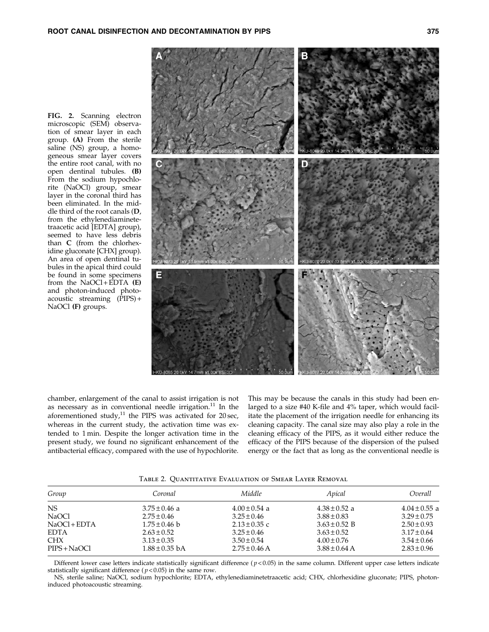FIG. 2. Scanning electron microscopic (SEM) observation of smear layer in each group. (A) From the sterile saline (NS) group, a homogeneous smear layer covers the entire root canal, with no open dentinal tubules. (B) From the sodium hypochlorite (NaOCl) group, smear layer in the coronal third has been eliminated. In the middle third of the root canals (D, from the ethylenediaminetetraacetic acid [EDTA] group), seemed to have less debris

than C (from the chlorhexidine gluconate [CHX] group). An area of open dentinal tubules in the apical third could be found in some specimens from the  $NaOCl + E\overline{D}TA$  (E) and photon-induced photoacoustic streaming (PIPS) + NaOCl (F) groups.



chamber, enlargement of the canal to assist irrigation is not as necessary as in conventional needle irrigation. $11$  In the aforementioned study, $^{11}$  the PIPS was activated for 20 sec, whereas in the current study, the activation time was extended to 1 min. Despite the longer activation time in the present study, we found no significant enhancement of the antibacterial efficacy, compared with the use of hypochlorite.

This may be because the canals in this study had been enlarged to a size #40 K-file and 4% taper, which would facilitate the placement of the irrigation needle for enhancing its cleaning capacity. The canal size may also play a role in the cleaning efficacy of the PIPS, as it would either reduce the efficacy of the PIPS because of the dispersion of the pulsed energy or the fact that as long as the conventional needle is

Table 2. Quantitative Evaluation of Smear Layer Removal

| Group                        | Coronal                               | Middle                               | Apical                               | Overall                            |
|------------------------------|---------------------------------------|--------------------------------------|--------------------------------------|------------------------------------|
| NS.                          | $3.75 \pm 0.46$ a                     | $4.00 \pm 0.54$ a                    | $4.38 \pm 0.52$ a                    | $4.04 \pm 0.55$ a                  |
| NaOCl                        | $2.75 \pm 0.46$                       | $3.25 \pm 0.46$                      | $3.88 \pm 0.83$                      | $3.29 \pm 0.75$                    |
| $NaOCl + EDTA$               | $1.75 \pm 0.46$ b                     | $2.13 \pm 0.35$ c                    | $3.63 \pm 0.52$ B                    | $2.50 \pm 0.93$                    |
| <b>EDTA</b>                  | $2.63 \pm 0.52$                       | $3.25 \pm 0.46$                      | $3.63 \pm 0.52$                      | $3.17 \pm 0.64$                    |
| <b>CHX</b><br>$PIPS + NaOCl$ | $3.13 \pm 0.35$<br>$1.88 \pm 0.35$ bA | $3.50 \pm 0.54$<br>$2.75 \pm 0.46$ A | $4.00 \pm 0.76$<br>$3.88 \pm 0.64$ A | $3.54 \pm 0.66$<br>$2.83 \pm 0.96$ |
|                              |                                       |                                      |                                      |                                    |

Different lower case letters indicate statistically significant difference ( $p$  < 0.05) in the same column. Different upper case letters indicate statistically significant difference ( $p$ <0.05) in the same row.

NS, sterile saline; NaOCl, sodium hypochlorite; EDTA, ethylenediaminetetraacetic acid; CHX, chlorhexidine gluconate; PIPS, photoninduced photoacoustic streaming.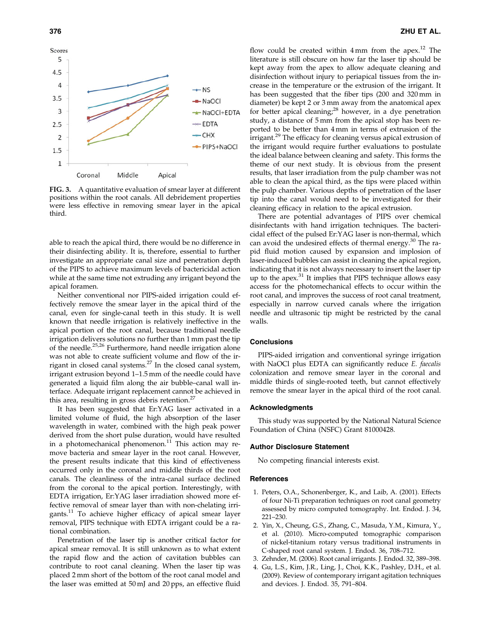

FIG. 3. A quantitative evaluation of smear layer at different positions within the root canals. All debridement properties were less effective in removing smear layer in the apical third.

able to reach the apical third, there would be no difference in their disinfecting ability. It is, therefore, essential to further investigate an appropriate canal size and penetration depth of the PIPS to achieve maximum levels of bactericidal action while at the same time not extruding any irrigant beyond the apical foramen.

Neither conventional nor PIPS-aided irrigation could effectively remove the smear layer in the apical third of the canal, even for single-canal teeth in this study. It is well known that needle irrigation is relatively ineffective in the apical portion of the root canal, because traditional needle irrigation delivers solutions no further than 1 mm past the tip of the needle.25,26 Furthermore, hand needle irrigation alone was not able to create sufficient volume and flow of the irrigant in closed canal systems. $27$  In the closed canal system, irrigant extrusion beyond 1–1.5 mm of the needle could have generated a liquid film along the air bubble–canal wall interface. Adequate irrigant replacement cannot be achieved in this area, resulting in gross debris retention.<sup>2</sup>

It has been suggested that Er:YAG laser activated in a limited volume of fluid, the high absorption of the laser wavelength in water, combined with the high peak power derived from the short pulse duration, would have resulted in a photomechanical phenomenon. $^{11}$  This action may remove bacteria and smear layer in the root canal. However, the present results indicate that this kind of effectiveness occurred only in the coronal and middle thirds of the root canals. The cleanliness of the intra-canal surface declined from the coronal to the apical portion. Interestingly, with EDTA irrigation, Er:YAG laser irradiation showed more effective removal of smear layer than with non-chelating irrigants.<sup>11</sup> To achieve higher efficacy of apical smear layer removal, PIPS technique with EDTA irrigant could be a rational combination.

Penetration of the laser tip is another critical factor for apical smear removal. It is still unknown as to what extent the rapid flow and the action of cavitation bubbles can contribute to root canal cleaning. When the laser tip was placed 2 mm short of the bottom of the root canal model and the laser was emitted at 50 mJ and 20 pps, an effective fluid

flow could be created within  $4 \text{ mm}$  from the apex.<sup>12</sup> The literature is still obscure on how far the laser tip should be kept away from the apex to allow adequate cleaning and disinfection without injury to periapical tissues from the increase in the temperature or the extrusion of the irrigant. It has been suggested that the fiber tips (200 and 320 mm in diameter) be kept 2 or 3 mm away from the anatomical apex for better apical cleaning; $^{28}$  however, in a dye penetration study, a distance of 5 mm from the apical stop has been reported to be better than 4 mm in terms of extrusion of the irrigant.<sup>29</sup> The efficacy for cleaning versus apical extrusion of the irrigant would require further evaluations to postulate the ideal balance between cleaning and safety. This forms the theme of our next study. It is obvious from the present results, that laser irradiation from the pulp chamber was not able to clean the apical third, as the tips were placed within the pulp chamber. Various depths of penetration of the laser tip into the canal would need to be investigated for their cleaning efficacy in relation to the apical extrusion.

There are potential advantages of PIPS over chemical disinfectants with hand irrigation techniques. The bactericidal effect of the pulsed Er:YAG laser is non-thermal, which can avoid the undesired effects of thermal energy.<sup>30</sup> The rapid fluid motion caused by expansion and implosion of laser-induced bubbles can assist in cleaning the apical region, indicating that it is not always necessary to insert the laser tip up to the apex. $31$  It implies that PIPS technique allows easy access for the photomechanical effects to occur within the root canal, and improves the success of root canal treatment, especially in narrow curved canals where the irrigation needle and ultrasonic tip might be restricted by the canal walls.

# Conclusions

PIPS-aided irrigation and conventional syringe irrigation with NaOCl plus EDTA can significantly reduce E. faecalis colonization and remove smear layer in the coronal and middle thirds of single-rooted teeth, but cannot effectively remove the smear layer in the apical third of the root canal.

#### Acknowledgments

This study was supported by the National Natural Science Foundation of China (NSFC) Grant 81000428.

## Author Disclosure Statement

No competing financial interests exist.

#### References

- 1. Peters, O.A., Schonenberger, K., and Laib, A. (2001). Effects of four Ni-Ti preparation techniques on root canal geometry assessed by micro computed tomography. Int. Endod. J. 34, 221–230.
- 2. Yin, X., Cheung, G.S., Zhang, C., Masuda, Y.M., Kimura, Y., et al. (2010). Micro-computed tomographic comparison of nickel-titanium rotary versus traditional instruments in C-shaped root canal system. J. Endod. 36, 708–712.
- 3. Zehnder, M. (2006). Root canal irrigants. J. Endod. 32, 389–398.
- 4. Gu, L.S., Kim, J.R., Ling, J., Choi, K.K., Pashley, D.H., et al. (2009). Review of contemporary irrigant agitation techniques and devices. J. Endod. 35, 791–804.